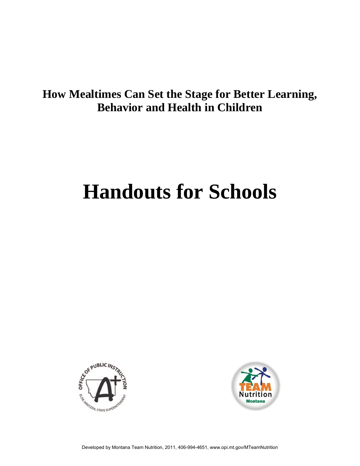### **How Mealtimes Can Set the Stage for Better Learning, Behavior and Health in Children**

# **Handouts for Schools**



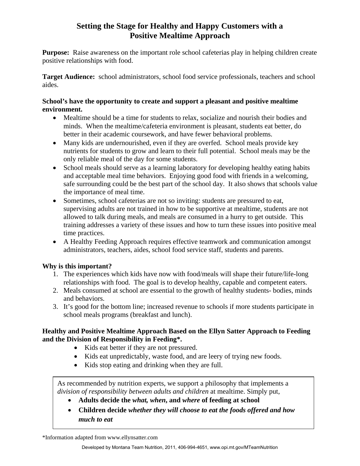### **Setting the Stage for Healthy and Happy Customers with a Positive Mealtime Approach**

**Purpose:** Raise awareness on the important role school cafeterias play in helping children create positive relationships with food.

**Target Audience:** school administrators, school food service professionals, teachers and school aides.

### **School's have the opportunity to create and support a pleasant and positive mealtime environment.**

- Mealtime should be a time for students to relax, socialize and nourish their bodies and minds. When the mealtime/cafeteria environment is pleasant, students eat better, do better in their academic coursework, and have fewer behavioral problems.
- Many kids are undernourished, even if they are overfed. School meals provide key nutrients for students to grow and learn to their full potential. School meals may be the only reliable meal of the day for some students.
- School meals should serve as a learning laboratory for developing healthy eating habits and acceptable meal time behaviors. Enjoying good food with friends in a welcoming, safe surrounding could be the best part of the school day. It also shows that schools value the importance of meal time.
- Sometimes, school cafeterias are not so inviting: students are pressured to eat, supervising adults are not trained in how to be supportive at mealtime, students are not allowed to talk during meals, and meals are consumed in a hurry to get outside. This training addresses a variety of these issues and how to turn these issues into positive meal time practices.
- A Healthy Feeding Approach requires effective teamwork and communication amongst administrators, teachers, aides, school food service staff, students and parents.

### **Why is this important?**

- 1. The experiences which kids have now with food/meals will shape their future/life-long relationships with food. The goal is to develop healthy, capable and competent eaters.
- 2. Meals consumed at school are essential to the growth of healthy students- bodies, minds and behaviors.
- 3. It's good for the bottom line; increased revenue to schools if more students participate in school meals programs (breakfast and lunch).

### **Healthy and Positive Mealtime Approach Based on the Ellyn Satter Approach to Feeding and the Division of Responsibility in Feeding\*.**

- Kids eat better if they are not pressured.
- Kids eat unpredictably, waste food, and are leery of trying new foods.
- Kids stop eating and drinking when they are full.

As recommended by nutrition experts, we support a philosophy that implements a *division of responsibility between adults and children* at mealtime. Simply put,

- **Adults decide the** *what, when***, and** *where* **of feeding at school**
- **Children decide** *whether they will choose to eat the foods offered and how much to eat*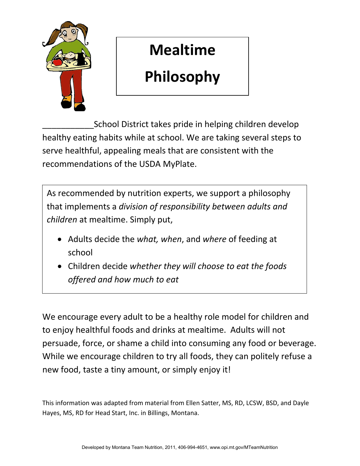

## **Mealtime**

## **Philosophy**

 \_\_\_\_\_\_\_\_\_\_\_School District takes pride in helping children develop healthy eating habits while at school. We are taking several steps to serve healthful, appealing meals that are consistent with the recommendations of the USDA MyPlate.

 As recommended by nutrition experts, we support a philosophy  that implements a *division of responsibility between adults and children* at mealtime. Simply put,

- • Adults decide the *what, when*, and *where* of feeding at school
- Children decide *whether they will choose to eat the foods offered and how much to eat*

 We encourage every adult to be a healthy role model for children and to enjoy healthful foods and drinks at mealtime. Adults will not persuade, force, or shame a child into consuming any food or beverage. While we encourage children to try all foods, they can politely refuse a new food, taste a tiny amount, or simply enjoy it!

 This information was adapted from material from Ellen Satter, MS, RD, LCSW, BSD, and Dayle Hayes, MS, RD for Head Start, Inc. in Billings, Montana.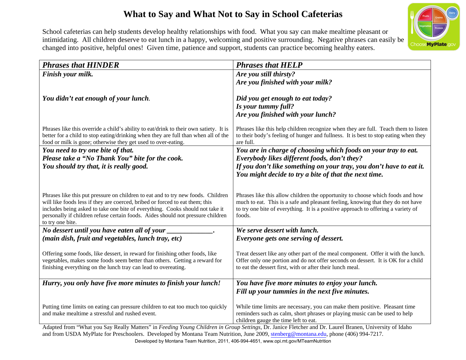### **What to Say and What Not to Say in School Cafeterias**



School cafeterias can help students develop healthy relationships with food. What you say can make mealtime pleasant or intimidating. All children deserve to eat lunch in a happy, welcoming and positive surrounding. Negative phrases can easily be changed into positive, helpful ones! Given time, patience and support, students can practice becoming healthy eaters.

| Finish your milk.<br>Are you still thirsty?<br>Are you finished with your milk?<br>You didn't eat enough of your lunch.<br>Did you get enough to eat today?<br>Is your tummy full?<br>Are you finished with your lunch?<br>Phrases like this override a child's ability to eat/drink to their own satiety. It is<br>Phrases like this help children recognize when they are full. Teach them to listen<br>better for a child to stop eating/drinking when they are full than when all of the<br>to their body's feeling of hunger and fullness. It is best to stop eating when they<br>food or milk is gone; otherwise they get used to over-eating.<br>are full.<br>You need to try one bite of that.<br>You are in charge of choosing which foods on your tray to eat.<br>Please take a "No Thank You" bite for the cook.<br>Everybody likes different foods, don't they?<br>If you don't like something on your tray, you don't have to eat it.<br>You should try that, it is really good.<br>You might decide to try a bite of that the next time.<br>Phrases like this put pressure on children to eat and to try new foods. Children<br>Phrases like this allow children the opportunity to choose which foods and how<br>much to eat. This is a safe and pleasant feeling, knowing that they do not have<br>will like foods less if they are coerced, bribed or forced to eat them; this<br>includes being asked to take one bite of everything. Cooks should not take it<br>to try one bite of everything. It is a positive approach to offering a variety of<br>personally if children refuse certain foods. Aides should not pressure children<br>foods.<br>to try one bite.<br>No dessert until you have eaten all of your _<br>We serve dessert with lunch.<br>(main dish, fruit and vegetables, lunch tray, etc)<br>Everyone gets one serving of dessert.<br>Offering some foods, like dessert, in reward for finishing other foods, like<br>Treat dessert like any other part of the meal component. Offer it with the lunch.<br>Offer only one portion and do not offer seconds on dessert. It is OK for a child<br>vegetables, makes some foods seem better than others. Getting a reward for<br>to eat the dessert first, with or after their lunch meal.<br>finishing everything on the lunch tray can lead to overeating.<br>You have five more minutes to enjoy your lunch.<br>Hurry, you only have five more minutes to finish your lunch! | <b>Phrases that HINDER</b> | <b>Phrases that HELP</b>                       |
|-----------------------------------------------------------------------------------------------------------------------------------------------------------------------------------------------------------------------------------------------------------------------------------------------------------------------------------------------------------------------------------------------------------------------------------------------------------------------------------------------------------------------------------------------------------------------------------------------------------------------------------------------------------------------------------------------------------------------------------------------------------------------------------------------------------------------------------------------------------------------------------------------------------------------------------------------------------------------------------------------------------------------------------------------------------------------------------------------------------------------------------------------------------------------------------------------------------------------------------------------------------------------------------------------------------------------------------------------------------------------------------------------------------------------------------------------------------------------------------------------------------------------------------------------------------------------------------------------------------------------------------------------------------------------------------------------------------------------------------------------------------------------------------------------------------------------------------------------------------------------------------------------------------------------------------------------------------------------------------------------------------------------------------------------------------------------------------------------------------------------------------------------------------------------------------------------------------------------------------------------------------------------------------------------------------------------------------------------------------------------------------------------------------------------------------------------------------------|----------------------------|------------------------------------------------|
|                                                                                                                                                                                                                                                                                                                                                                                                                                                                                                                                                                                                                                                                                                                                                                                                                                                                                                                                                                                                                                                                                                                                                                                                                                                                                                                                                                                                                                                                                                                                                                                                                                                                                                                                                                                                                                                                                                                                                                                                                                                                                                                                                                                                                                                                                                                                                                                                                                                                 |                            |                                                |
|                                                                                                                                                                                                                                                                                                                                                                                                                                                                                                                                                                                                                                                                                                                                                                                                                                                                                                                                                                                                                                                                                                                                                                                                                                                                                                                                                                                                                                                                                                                                                                                                                                                                                                                                                                                                                                                                                                                                                                                                                                                                                                                                                                                                                                                                                                                                                                                                                                                                 |                            |                                                |
|                                                                                                                                                                                                                                                                                                                                                                                                                                                                                                                                                                                                                                                                                                                                                                                                                                                                                                                                                                                                                                                                                                                                                                                                                                                                                                                                                                                                                                                                                                                                                                                                                                                                                                                                                                                                                                                                                                                                                                                                                                                                                                                                                                                                                                                                                                                                                                                                                                                                 |                            |                                                |
|                                                                                                                                                                                                                                                                                                                                                                                                                                                                                                                                                                                                                                                                                                                                                                                                                                                                                                                                                                                                                                                                                                                                                                                                                                                                                                                                                                                                                                                                                                                                                                                                                                                                                                                                                                                                                                                                                                                                                                                                                                                                                                                                                                                                                                                                                                                                                                                                                                                                 |                            |                                                |
|                                                                                                                                                                                                                                                                                                                                                                                                                                                                                                                                                                                                                                                                                                                                                                                                                                                                                                                                                                                                                                                                                                                                                                                                                                                                                                                                                                                                                                                                                                                                                                                                                                                                                                                                                                                                                                                                                                                                                                                                                                                                                                                                                                                                                                                                                                                                                                                                                                                                 |                            |                                                |
|                                                                                                                                                                                                                                                                                                                                                                                                                                                                                                                                                                                                                                                                                                                                                                                                                                                                                                                                                                                                                                                                                                                                                                                                                                                                                                                                                                                                                                                                                                                                                                                                                                                                                                                                                                                                                                                                                                                                                                                                                                                                                                                                                                                                                                                                                                                                                                                                                                                                 |                            |                                                |
|                                                                                                                                                                                                                                                                                                                                                                                                                                                                                                                                                                                                                                                                                                                                                                                                                                                                                                                                                                                                                                                                                                                                                                                                                                                                                                                                                                                                                                                                                                                                                                                                                                                                                                                                                                                                                                                                                                                                                                                                                                                                                                                                                                                                                                                                                                                                                                                                                                                                 |                            |                                                |
|                                                                                                                                                                                                                                                                                                                                                                                                                                                                                                                                                                                                                                                                                                                                                                                                                                                                                                                                                                                                                                                                                                                                                                                                                                                                                                                                                                                                                                                                                                                                                                                                                                                                                                                                                                                                                                                                                                                                                                                                                                                                                                                                                                                                                                                                                                                                                                                                                                                                 |                            |                                                |
|                                                                                                                                                                                                                                                                                                                                                                                                                                                                                                                                                                                                                                                                                                                                                                                                                                                                                                                                                                                                                                                                                                                                                                                                                                                                                                                                                                                                                                                                                                                                                                                                                                                                                                                                                                                                                                                                                                                                                                                                                                                                                                                                                                                                                                                                                                                                                                                                                                                                 |                            |                                                |
|                                                                                                                                                                                                                                                                                                                                                                                                                                                                                                                                                                                                                                                                                                                                                                                                                                                                                                                                                                                                                                                                                                                                                                                                                                                                                                                                                                                                                                                                                                                                                                                                                                                                                                                                                                                                                                                                                                                                                                                                                                                                                                                                                                                                                                                                                                                                                                                                                                                                 |                            |                                                |
|                                                                                                                                                                                                                                                                                                                                                                                                                                                                                                                                                                                                                                                                                                                                                                                                                                                                                                                                                                                                                                                                                                                                                                                                                                                                                                                                                                                                                                                                                                                                                                                                                                                                                                                                                                                                                                                                                                                                                                                                                                                                                                                                                                                                                                                                                                                                                                                                                                                                 |                            |                                                |
|                                                                                                                                                                                                                                                                                                                                                                                                                                                                                                                                                                                                                                                                                                                                                                                                                                                                                                                                                                                                                                                                                                                                                                                                                                                                                                                                                                                                                                                                                                                                                                                                                                                                                                                                                                                                                                                                                                                                                                                                                                                                                                                                                                                                                                                                                                                                                                                                                                                                 |                            |                                                |
|                                                                                                                                                                                                                                                                                                                                                                                                                                                                                                                                                                                                                                                                                                                                                                                                                                                                                                                                                                                                                                                                                                                                                                                                                                                                                                                                                                                                                                                                                                                                                                                                                                                                                                                                                                                                                                                                                                                                                                                                                                                                                                                                                                                                                                                                                                                                                                                                                                                                 |                            |                                                |
|                                                                                                                                                                                                                                                                                                                                                                                                                                                                                                                                                                                                                                                                                                                                                                                                                                                                                                                                                                                                                                                                                                                                                                                                                                                                                                                                                                                                                                                                                                                                                                                                                                                                                                                                                                                                                                                                                                                                                                                                                                                                                                                                                                                                                                                                                                                                                                                                                                                                 |                            |                                                |
|                                                                                                                                                                                                                                                                                                                                                                                                                                                                                                                                                                                                                                                                                                                                                                                                                                                                                                                                                                                                                                                                                                                                                                                                                                                                                                                                                                                                                                                                                                                                                                                                                                                                                                                                                                                                                                                                                                                                                                                                                                                                                                                                                                                                                                                                                                                                                                                                                                                                 |                            |                                                |
|                                                                                                                                                                                                                                                                                                                                                                                                                                                                                                                                                                                                                                                                                                                                                                                                                                                                                                                                                                                                                                                                                                                                                                                                                                                                                                                                                                                                                                                                                                                                                                                                                                                                                                                                                                                                                                                                                                                                                                                                                                                                                                                                                                                                                                                                                                                                                                                                                                                                 |                            |                                                |
|                                                                                                                                                                                                                                                                                                                                                                                                                                                                                                                                                                                                                                                                                                                                                                                                                                                                                                                                                                                                                                                                                                                                                                                                                                                                                                                                                                                                                                                                                                                                                                                                                                                                                                                                                                                                                                                                                                                                                                                                                                                                                                                                                                                                                                                                                                                                                                                                                                                                 |                            |                                                |
|                                                                                                                                                                                                                                                                                                                                                                                                                                                                                                                                                                                                                                                                                                                                                                                                                                                                                                                                                                                                                                                                                                                                                                                                                                                                                                                                                                                                                                                                                                                                                                                                                                                                                                                                                                                                                                                                                                                                                                                                                                                                                                                                                                                                                                                                                                                                                                                                                                                                 |                            |                                                |
|                                                                                                                                                                                                                                                                                                                                                                                                                                                                                                                                                                                                                                                                                                                                                                                                                                                                                                                                                                                                                                                                                                                                                                                                                                                                                                                                                                                                                                                                                                                                                                                                                                                                                                                                                                                                                                                                                                                                                                                                                                                                                                                                                                                                                                                                                                                                                                                                                                                                 |                            |                                                |
|                                                                                                                                                                                                                                                                                                                                                                                                                                                                                                                                                                                                                                                                                                                                                                                                                                                                                                                                                                                                                                                                                                                                                                                                                                                                                                                                                                                                                                                                                                                                                                                                                                                                                                                                                                                                                                                                                                                                                                                                                                                                                                                                                                                                                                                                                                                                                                                                                                                                 |                            |                                                |
|                                                                                                                                                                                                                                                                                                                                                                                                                                                                                                                                                                                                                                                                                                                                                                                                                                                                                                                                                                                                                                                                                                                                                                                                                                                                                                                                                                                                                                                                                                                                                                                                                                                                                                                                                                                                                                                                                                                                                                                                                                                                                                                                                                                                                                                                                                                                                                                                                                                                 |                            |                                                |
|                                                                                                                                                                                                                                                                                                                                                                                                                                                                                                                                                                                                                                                                                                                                                                                                                                                                                                                                                                                                                                                                                                                                                                                                                                                                                                                                                                                                                                                                                                                                                                                                                                                                                                                                                                                                                                                                                                                                                                                                                                                                                                                                                                                                                                                                                                                                                                                                                                                                 |                            |                                                |
|                                                                                                                                                                                                                                                                                                                                                                                                                                                                                                                                                                                                                                                                                                                                                                                                                                                                                                                                                                                                                                                                                                                                                                                                                                                                                                                                                                                                                                                                                                                                                                                                                                                                                                                                                                                                                                                                                                                                                                                                                                                                                                                                                                                                                                                                                                                                                                                                                                                                 |                            |                                                |
|                                                                                                                                                                                                                                                                                                                                                                                                                                                                                                                                                                                                                                                                                                                                                                                                                                                                                                                                                                                                                                                                                                                                                                                                                                                                                                                                                                                                                                                                                                                                                                                                                                                                                                                                                                                                                                                                                                                                                                                                                                                                                                                                                                                                                                                                                                                                                                                                                                                                 |                            |                                                |
|                                                                                                                                                                                                                                                                                                                                                                                                                                                                                                                                                                                                                                                                                                                                                                                                                                                                                                                                                                                                                                                                                                                                                                                                                                                                                                                                                                                                                                                                                                                                                                                                                                                                                                                                                                                                                                                                                                                                                                                                                                                                                                                                                                                                                                                                                                                                                                                                                                                                 |                            |                                                |
|                                                                                                                                                                                                                                                                                                                                                                                                                                                                                                                                                                                                                                                                                                                                                                                                                                                                                                                                                                                                                                                                                                                                                                                                                                                                                                                                                                                                                                                                                                                                                                                                                                                                                                                                                                                                                                                                                                                                                                                                                                                                                                                                                                                                                                                                                                                                                                                                                                                                 |                            | Fill up your tummies in the next five minutes. |
|                                                                                                                                                                                                                                                                                                                                                                                                                                                                                                                                                                                                                                                                                                                                                                                                                                                                                                                                                                                                                                                                                                                                                                                                                                                                                                                                                                                                                                                                                                                                                                                                                                                                                                                                                                                                                                                                                                                                                                                                                                                                                                                                                                                                                                                                                                                                                                                                                                                                 |                            |                                                |
| Putting time limits on eating can pressure children to eat too much too quickly<br>While time limits are necessary, you can make them positive. Pleasant time                                                                                                                                                                                                                                                                                                                                                                                                                                                                                                                                                                                                                                                                                                                                                                                                                                                                                                                                                                                                                                                                                                                                                                                                                                                                                                                                                                                                                                                                                                                                                                                                                                                                                                                                                                                                                                                                                                                                                                                                                                                                                                                                                                                                                                                                                                   |                            |                                                |
| and make mealtime a stressful and rushed event.<br>reminders such as calm, short phrases or playing music can be used to help                                                                                                                                                                                                                                                                                                                                                                                                                                                                                                                                                                                                                                                                                                                                                                                                                                                                                                                                                                                                                                                                                                                                                                                                                                                                                                                                                                                                                                                                                                                                                                                                                                                                                                                                                                                                                                                                                                                                                                                                                                                                                                                                                                                                                                                                                                                                   |                            |                                                |
| children gauge the time left to eat.<br>Adapted from "What you Say Really Matters" in Feeding Young Children in Group Settings, Dr. Janice Fletcher and Dr. Laurel Branen, University of Idaho                                                                                                                                                                                                                                                                                                                                                                                                                                                                                                                                                                                                                                                                                                                                                                                                                                                                                                                                                                                                                                                                                                                                                                                                                                                                                                                                                                                                                                                                                                                                                                                                                                                                                                                                                                                                                                                                                                                                                                                                                                                                                                                                                                                                                                                                  |                            |                                                |

and from USD A MyPlate for Preschoolers. Developed by Montana Team Nutrition, June 2009, [stenberg@montana.edu](mailto:stenberg@montana.edu), phone (406) 994-7217.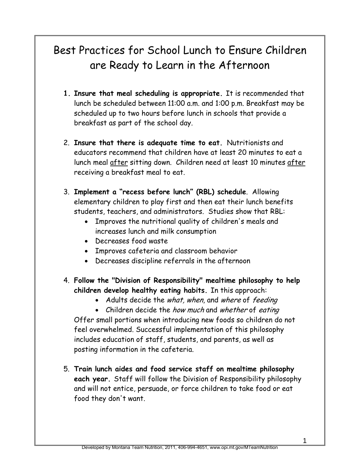## Best Practices for School Lunch to Ensure Children are Ready to Learn in the Afternoon

- **1. Insure that meal scheduling is appropriate.** It is recommended that lunch be scheduled between 11:00 a.m. and 1:00 p.m. Breakfast may be scheduled up to two hours before lunch in schools that provide a breakfast as part of the school day.
- 2. **Insure that there is adequate time to eat.** Nutritionists and educators recommend that children have at least 20 minutes to eat a lunch meal after sitting down. Children need at least 10 minutes after receiving a breakfast meal to eat.
- 3. **Implement a "recess before lunch" (RBL) schedule**. Allowing elementary children to play first and then eat their lunch benefits students, teachers, and administrators. Studies show that RBL:
	- Improves the nutritional quality of children's meals and increases lunch and milk consumption
	- Decreases food waste
	- Improves cafeteria and classroom behavior
	- Decreases discipline referrals in the afternoon
- 4. **Follow the "Division of Responsibility" mealtime philosophy to help children develop healthy eating habits.** In this approach:
	- Adults decide the what, when, and where of feeding

• Children decide the *how much* and whether of eating Offer small portions when introducing new foods so children do not feel overwhelmed. Successful implementation of this philosophy includes education of staff, students, and parents, as well as posting information in the cafeteria.

5. **Train lunch aides and food service staff on mealtime philosophy each year.** Staff will follow the Division of Responsibility philosophy and will not entice, persuade, or force children to take food or eat food they don't want.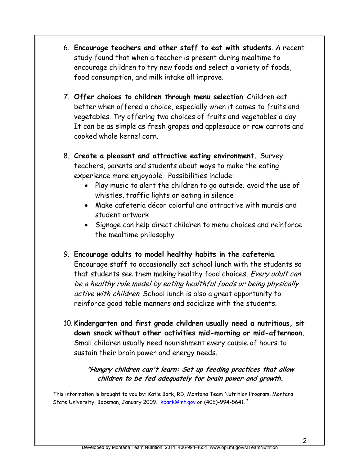- 6. **Encourage teachers and other staff to eat with students**. A recent study found that when a teacher is present during mealtime to encourage children to try new foods and select a variety of foods, food consumption, and milk intake all improve.
- 7. **Offer choices to children through menu selection**. Children eat better when offered a choice, especially when it comes to fruits and vegetables. Try offering two choices of fruits and vegetables a day. It can be as simple as fresh grapes and applesauce or raw carrots and cooked whole kernel corn.
- 8. **Create a pleasant and attractive eating environment.** Survey teachers, parents and students about ways to make the eating experience more enjoyable. Possibilities include:
	- Play music to alert the children to go outside; avoid the use of whistles, traffic lights or eating in silence
	- Make cafeteria décor colorful and attractive with murals and student artwork
	- Signage can help direct children to menu choices and reinforce the mealtime philosophy
- 9. **Encourage adults to model healthy habits in the cafeteria**.

Encourage staff to occasionally eat school lunch with the students so that students see them making healthy food choices. Every adult can be a healthy role model by eating healthful foods or being physically active with children. School lunch is also a great opportunity to reinforce good table manners and socialize with the students.

10. **Kindergarten and first grade children usually need a nutritious, sit down snack without other activities mid-morning or mid-afternoon.**  Small children usually need nourishment every couple of hours to sustain their brain power and energy needs.

### **"Hungry children can't learn: Set up feeding practices that allow children to be fed adequately for brain power and growth.**

 State University, Bozeman, January 2009. [kbark@mt.gov](mailto:kbark@mt.gov) or (406)-994-5641.*"*  This information is brought to you by: Katie Bark, RD, Montana Team Nutrition Program, Montana